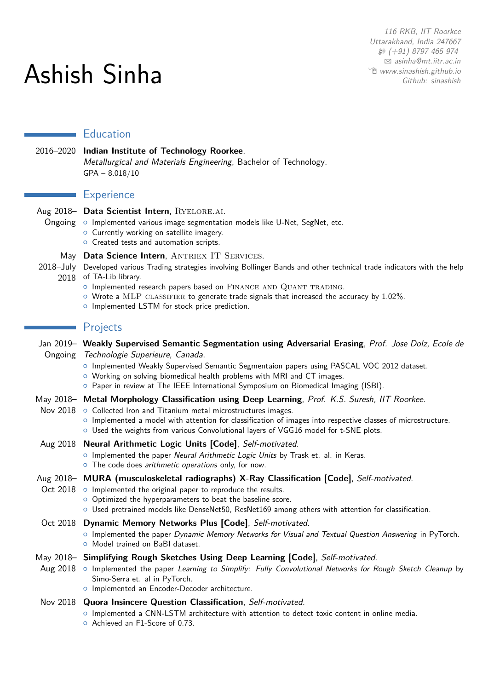# Ashish Sinha

116 RKB, IIT Roorkee Uttarakhand, India 247667  $$9$  (+91) 8797 465 974 B [asinha@mt.iitr.ac.in](mailto:asinha@mt.iitr.ac.in) Í [www.sinashish.github.io](http://sinashish.github.io) [Github: sinashish](https://github.com/sinashish)

## **Education**

## 2016–2020 **Indian Institute of Technology Roorkee**, Metallurgical and Materials Engineering, Bachelor of Technology. GPA – 8.018/10

## **Experience**

# Aug 2018- Data Scientist Intern, RYELORE.AI.

- Ongoing o Implemented various image segmentation models like U-Net, SegNet, etc.
	- o Currently working on satellite imagery.
	- o Created tests and automation scripts.

### May Data Science Intern, ANTRIEX IT SERVICES.

2018–July Developed various Trading strategies involving Bollinger Bands and other technical trade indicators with the help 2018 of TA-Lib library.

- o Implemented research papers based on FINANCE AND QUANT TRADING.
- $\circ$  Wrote a MLP CLASSIFIER to generate trade signals that increased the accuracy by 1.02%.
- o Implemented LSTM for stock price prediction.

#### **Projects**

| Jan 2019– Weakly Supervised Semantic Segmentation using Adversarial Erasing, Prof. Jose Dolz, Ecole de                                                                                                                                                                       |
|------------------------------------------------------------------------------------------------------------------------------------------------------------------------------------------------------------------------------------------------------------------------------|
| Ongoing Technologie Superieure, Canada.                                                                                                                                                                                                                                      |
| o Implemented Weakly Supervised Semantic Segmentaion papers using PASCAL VOC 2012 dataset.<br>O Working on solving biomedical health problems with MRI and CT images.<br>o Paper in review at The IEEE International Symposium on Biomedical Imaging (ISBI).                 |
| May 2018- Metal Morphology Classification using Deep Learning, Prof. K.S. Suresh, IIT Roorkee.                                                                                                                                                                               |
| Nov 2018 o Collected Iron and Titanium metal microstructures images.<br>o Implemented a model with attention for classification of images into respective classes of microstructure.<br>o Used the weights from various Convolutional layers of VGG16 model for t-SNE plots. |
| Aug 2018 Neural Arithmetic Logic Units [Code], Self-motivated.                                                                                                                                                                                                               |
| o Implemented the paper Neural Arithmetic Logic Units by Trask et. al. in Keras.<br>o The code does arithmetic operations only, for now.                                                                                                                                     |
| Aug 2018- MURA (musculoskeletal radiographs) X-Ray Classification [Code], Self-motivated.                                                                                                                                                                                    |
| Oct $2018$ $\circ$ Implemented the original paper to reproduce the results.                                                                                                                                                                                                  |
| o Optimized the hyperparameters to beat the baseline score.                                                                                                                                                                                                                  |
| O Used pretrained models like DenseNet50, ResNet169 among others with attention for classification.                                                                                                                                                                          |
| Oct 2018 Dynamic Memory Networks Plus [Code], Self-motivated.                                                                                                                                                                                                                |
| o Implemented the paper Dynamic Memory Networks for Visual and Textual Question Answering in PyTorch.<br>O Model trained on BaBI dataset.                                                                                                                                    |
| May 2018- Simplifying Rough Sketches Using Deep Learning [Code], Self-motivated.                                                                                                                                                                                             |
| Aug 2018 o Implemented the paper Learning to Simplify: Fully Convolutional Networks for Rough Sketch Cleanup by<br>Simo-Serra et. al in PyTorch.                                                                                                                             |
| o Implemented an Encoder-Decoder architecture.                                                                                                                                                                                                                               |
| Nov 2018 Quora Insincere Question Classification, Self-motivated.                                                                                                                                                                                                            |
| o Implemented a CNN-LSTM architecture with attention to detect toxic content in online media.<br>O Achieved an F1-Score of 0.73.                                                                                                                                             |